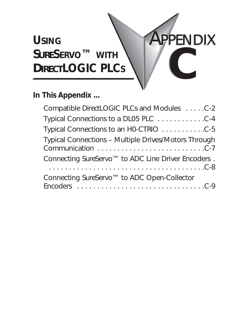## **USING** *SURE***SERVO™ WITH** *DIRECT***LOGIC PLCS**

## **In This Appendix ...**

| Compatible DirectLOGIC PLCs and Modules C-2                    |
|----------------------------------------------------------------|
| Typical Connections to a DL05 PLC 4                            |
|                                                                |
| Typical Connections - Multiple Drives/Motors Through           |
| Connecting SureServo <sup>™</sup> to ADC Line Driver Encoders. |
| Connecting SureServo <sup>™</sup> to ADC Open-Collector        |

**PPENDIX** 

**B C**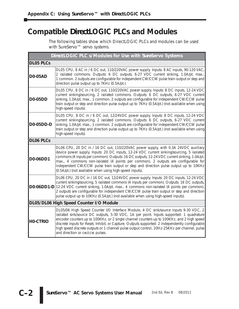### **Compatible** *Direct***LOGIC PLCs and Modules**

The following tables show which *Direct*LOGIC PLCs and modules can be used with *Sure*Servo™ servo systems.

| DirectLOGIC PLC s/Modules for Use with SureServo Systems |                                                                                                                                                                                                                                                                                                                                                                                                                                                                                                                         |  |
|----------------------------------------------------------|-------------------------------------------------------------------------------------------------------------------------------------------------------------------------------------------------------------------------------------------------------------------------------------------------------------------------------------------------------------------------------------------------------------------------------------------------------------------------------------------------------------------------|--|
| <b>DL05 PLCs</b>                                         |                                                                                                                                                                                                                                                                                                                                                                                                                                                                                                                         |  |
| <b>DO-05AD</b>                                           | DL05 CPU, 8 AC in / 6 DC out, 110/220VAC power supply. Inputs: 8 AC inputs, 90-120 VAC,<br>2 isolated commons. Outputs: 6 DC outputs, 6-27 VDC current sinking, 1.0A/pt. max.,<br>1 common. 2 outputs are configurable for independent CW/CCW pulse train output or step and<br>direction pulse output up to 7KHz (0.5A/pt.).                                                                                                                                                                                           |  |
| <b>D0-05DD</b>                                           | DL05 CPU, 8 DC in / 6 DC out, 110/220VAC power supply. Inputs: 8 DC inputs, 12-24 VDC<br>current sinking/sourcing, 2 isolated commons. Outputs: 6 DC outputs, 6-27 VDC current<br>sinking, 1.0A/pt. max., 1 common. 2 outputs are configurable for independent CW/CCW pulse<br>train output or step and direction pulse output up to 7KHz (0.5A/pt.) (not available when using<br>high-speed inputs).                                                                                                                   |  |
| <b>D0-05DD-D</b>                                         | DL05 CPU, 8 DC in / 6 DC out, 12/24VDC power supply. Inputs: 8 DC inputs, 12-24 VDC<br>current sinking/sourcing, 2 isolated commons. Outputs: 6 DC outputs, 6-27 VDC current<br>sinking, 1.0A/pt. max., 1 common. 2 outputs are configurable for independent CW/CCW pulse<br>train output or step and direction pulse output up to 7KHz (0.5A/pt.) (not available when using<br>high-speed inputs).                                                                                                                     |  |
| <b>DL06 PLCs</b>                                         |                                                                                                                                                                                                                                                                                                                                                                                                                                                                                                                         |  |
| D0-06DD1                                                 | DL06 CPU, 20 DC in / 16 DC out, 110/220VAC power supply, with 0.3A 24VDC auxiliary<br>device power supply. Inputs: 20 DC inputs, 12-24 VDC current sinking/sourcing, 5 isolated<br>commons (4 inputs per common). Outputs: 16 DC outputs, 12-24 VDC current sinking, 1.0A/pt.<br>max., 4 commons non-isolated (4 points per common). 2 outputs are configurable for<br>independent CW/CCW pulse train output or step and direction pulse output up to 10KHz<br>(0.5A/pt.) (not available when using high-speed inputs). |  |
|                                                          | DL06 CPU, 20 DC in / 16 DC out, 12/24VDC power supply. Inputs: 20 DC inputs, 12-24 VDC<br>current sinking/sourcing, 5 isolated commons (4 inputs per common). Outputs: 16 DC outputs,<br>DO-06DD1-D 12-24 VDC current sinking, 1.0A/pt. max., 4 commons non-isolated (4 points per common).<br>2 outputs are configurable for independent CW/CCW pulse train output or step and direction<br>pulse output up to 10KHz (0.5A/pt.) (not available when using high-speed inputs).                                          |  |
| DL05/DL06 High Speed Counter I/O Module                  |                                                                                                                                                                                                                                                                                                                                                                                                                                                                                                                         |  |
| <b>HO-CTRIO</b>                                          | DL05/06 High Speed Counter I/O Interface Module, 4 DC sink/source inputs 9-30 VDC, 2<br>isolated sink/source DC outputs, 5-30 VDC, 1A per point. Inputs supported: 1 quadrature<br>encoder counters up to 100KHz, or 2 single channel counters up to 100KHz, and 2 high speed<br>discrete inputs for Reset, Inhibit, or Capture. Outputs supported: 2 independently configurable<br>high speed discrete outputs or 1 channel pulse output control, 20Hz-25KHz per channel, pulse<br>and direction or cw/ccw pulses.     |  |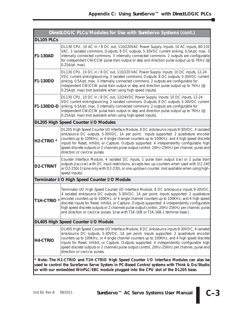| DirectLOGIC PLCs/Modules for Use with SureServo Systems (cont.)                                                                                                                                                                                                                 |                                                                                                                                                                                                                                                                                                                                                                                                                                                                                                                                                                          |  |
|---------------------------------------------------------------------------------------------------------------------------------------------------------------------------------------------------------------------------------------------------------------------------------|--------------------------------------------------------------------------------------------------------------------------------------------------------------------------------------------------------------------------------------------------------------------------------------------------------------------------------------------------------------------------------------------------------------------------------------------------------------------------------------------------------------------------------------------------------------------------|--|
| DL105 PLCs                                                                                                                                                                                                                                                                      |                                                                                                                                                                                                                                                                                                                                                                                                                                                                                                                                                                          |  |
| <b>F1-130AD</b>                                                                                                                                                                                                                                                                 | DL130 CPU, 10 AC in / 8 DC out, 110/220VAC Power Supply. Inputs: 10 AC inputs, 80-132<br>VAC, 3 isolated commons. Outputs: 8 DC outputs, 5-30VDC current sinking, 0.5A/pt. max, 3<br>internally connected commons. 3 internally connected commons. 2 outputs are configurable<br>for independent CW/CCW pulse train output or step and direction pulse output up to 7KHz (@<br>0.25A/pt. max).                                                                                                                                                                           |  |
| <b>F1-130DD</b>                                                                                                                                                                                                                                                                 | DL130 CPU, 10 DC in / 8 DC out, 110/220 VAC Power Supply. Inputs: 10 DC inputs, 12-24<br>VDC current sinking/sourcing, 3 isolated commons. Outputs: 8 DC outputs, 5-30VDC current<br>sinking, 0.5A/pt. max, 3 internally connected commons. 2 outputs are configurable for<br>independent CW/CCW pulse train output or step and direction pulse output up to 7KHz (@<br>0.25A/pt. max) (not available when using high-speed inputs).                                                                                                                                     |  |
| F1-130DD-D                                                                                                                                                                                                                                                                      | DL130 CPU, 10 DC in / 8 DC out, 12/24VDC Power Supply. Inputs: 10 DC inputs, 12-24<br>VDC current sinking/sourcing, 3 isolated commons. Outputs: 8 DC outputs, 5-30VDC current<br>sinking, 0.5A/pt. max, 3 internally connected commons. 2 outputs are configurable for<br>independent CW/CCW pulse train output or step and direction pulse output up to 7KHz (@<br>0.25A/pt. max) (not available when using high-speed inputs).                                                                                                                                        |  |
| DL205 High Speed Counter I/O Modules                                                                                                                                                                                                                                            |                                                                                                                                                                                                                                                                                                                                                                                                                                                                                                                                                                          |  |
| <b>H2-CTRIO<sup>*</sup></b>                                                                                                                                                                                                                                                     | DL205 High Speed Counter I/O Interface Module, 8 DC sink/source inputs 9-30VDC, 4 isolated<br>sink/source DC outputs, 5-30VDC, 1A per point. Inputs supported: 2 quadrature encoder<br>counters up to 100KHz, or 4 single channel counters up to 100KHz, and 4 high speed discrete<br>inputs for Reset, Inhibit, or Capture. Outputs supported: 4 independently configurable high<br>speed discrete outputs or 2 channels pulse output control, 20Hz-25KHz per channel, pulse and<br>direction or cw/ccw pulses.                                                         |  |
| <b>D2-CTRINT</b>                                                                                                                                                                                                                                                                | Counter Interface Module, 4 isolated DC inputs, 1 pulse train output (cw) or 2 pulse train<br>outputs (cw,ccw) with DC input restrictions, accepts two up-counters when used with D2-240<br>or D2-250(-1) (one only with D2-230), or one up/down counter. (not available when using high-<br>speed inputs).                                                                                                                                                                                                                                                              |  |
| Terminator I/O High Speed Counter I/O Module                                                                                                                                                                                                                                    |                                                                                                                                                                                                                                                                                                                                                                                                                                                                                                                                                                          |  |
| T1H-CTRIO <sup>*</sup>                                                                                                                                                                                                                                                          | Terminator I/O High Speed Counter I/O Interface Module, 8 DC sink/source inputs 9-30VDC,<br>4 isolated sink/source DC outputs, 5-30VDC, 1A per point. Inputs supported: 2 quadrature<br>encoder counters up to 100KHz, or 4 single channel counters up to 100KHz, and 4 high speed<br>discrete inputs for Reset, Inhibit, or Capture. Outputs supported: 4 independently configurable<br>high speed discrete outputs or 2 channels pulse output control, 20Hz-25KHz per channel, pulse<br>and direction or cw/ccw pulses. (Use with T1K-16B or T1K-16B-1 terminal base.) |  |
| DL405 High Speed Counter I/O Module                                                                                                                                                                                                                                             |                                                                                                                                                                                                                                                                                                                                                                                                                                                                                                                                                                          |  |
| <b>H4-CTRIO</b>                                                                                                                                                                                                                                                                 | DL405 High Speed Counter I/O Interface Module, 8 DC sink/source inputs 9-30VDC, 4 isolated<br>sink/source DC outputs, 5-30VDC, 1A per point. Inputs supported: 2 quadrature encoder<br>counters up to 100KHz, or 4 single channel counters up to 100KHz, and 4 high speed discrete<br>inputs for Reset, Inhibit, or Capture. Outputs supported: 4 independently configurable high<br>speed discrete outputs or 2 channels pulse output control, 20Hz-25KHz per channel, pulse and<br>direction or cw/ccw pulses.                                                         |  |
| * Note: The H2-CTRIO and T1H-CTRIO High Speed Counter I/O Interface Modules can also be<br>used to control the SureServo Servo System in PC-Based Control systems with Think & Do/Studio<br>or with our embedded WinPLC/EBC module plugged into the CPU slot of the DL205 base. |                                                                                                                                                                                                                                                                                                                                                                                                                                                                                                                                                                          |  |

П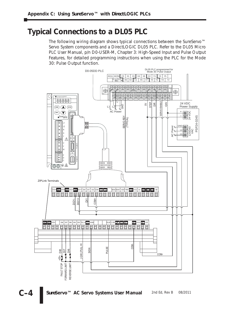#### **Typical Connections to a DL05 PLC**

The following wiring diagram shows typical connections between the *Sure*Servo™ Servo System components and a *Direct*LOGIC DL05 PLC. Refer to the DL05 Micro PLC User Manual, p/n D0-USER-M, Chapter 3: High-Speed Input and Pulse Output Features, for detailed programming instructions when using the PLC for the Mode 30: Pulse Output function.

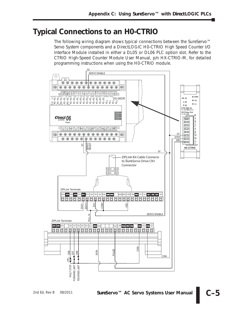#### **Typical Connections to an H0-CTRIO**

The following wiring diagram shows typical connections between the *Sure*Servo™ Servo System components and a *Direct*LOGIC H0-CTRIO High Speed Counter I/O Interface Module installed in either a DL05 or DL06 PLC option slot. Refer to the CTRIO High-Speed Counter Module User Manual, p/n HX-CTRIO-M, for detailed programming instructions when using the H0-CTRIO module.

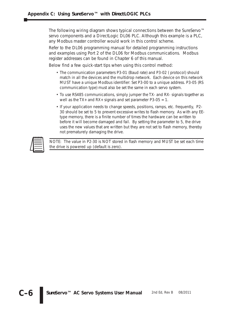The following wiring diagram shows typical connections between the *Sure*Servo™ servo components and a DirectLogic DL06 PLC. Although this example is a PLC, any Modbus master controller would work in this control scheme.

Refer to the DL06 programming manual for detailed programming instructions and examples using Port 2 of the DL06 for Modbus communications. Modbus register addresses can be found in Chapter 6 of this manual.

Below find a few quick-start tips when using this control method:

- The communication parameters P3-01 (Baud rate) and P3-02 ( protocol) should match in all the devices and the multidrop network. Each device on this network MUST have a unique Modbus identifier: Set P3-00 to a unique address. P3-05 (RS communication type) must also be set the same in each servo system.
- To use RS485 communications, simply jumper the TX- and RX- signals together as well as the  $TX$ + and  $RX$ + signals and set parameter P3-05 = 1.
- If your application needs to change speeds, positions, ramps, etc. frequently, P2- 30 should be set to 5 to prevent excessive writes to flash memory. As with any EEtype memory, there is a finite number of times the hardware can be written to before it will become damaged and fail. By setting the parameter to 5, the drive uses the new values that are written but they are not set to flash memory, thereby not prematurely damaging the drive.

| $\overline{\phantom{00}00000}$ |
|--------------------------------|
|                                |
|                                |
|                                |

*NOTE: The value in P2-30 is NOT stored in flash memory and MUST be set each time the drive is powered up (default is zero).*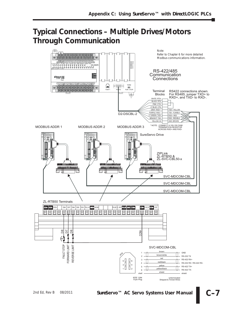#### **Typical Connections – Multiple Drives/Motors Through Communication**

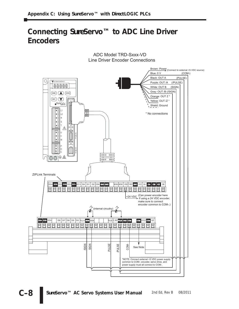#### **Connecting** *Sure***Servo™ to ADC Line Driver Encoders**



Line Driver Encoder Connections ADC Model TRD-Sxxx-VD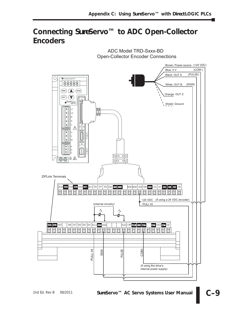#### **Connecting** *Sure***Servo™ to ADC Open-Collector Encoders**



Open-Collector Encoder Connections ADC Model TRD-Sxxx-BD